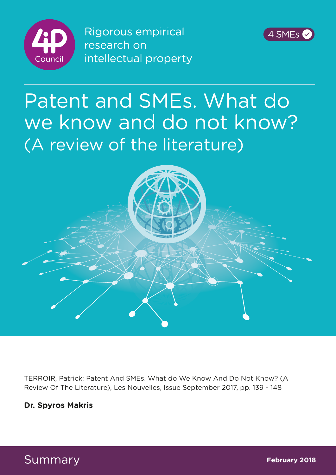

**Rigorous empirical** research on intellectual property



## Patent and SMEs. What do we know and do not know? (A review of the literature)



TERROIR, Patrick: Patent And SMEs. What do We Know And Do Not Know? (A Review Of The Literature), Les Nouvelles, Issue September 2017, pp. 139 - 148

## **Dr. Spyros Makris**

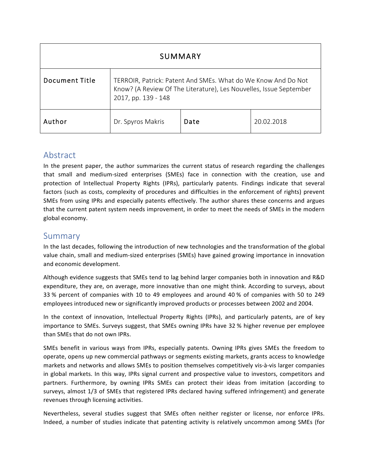| SUMMARY               |                                                                                                                                                            |      |            |
|-----------------------|------------------------------------------------------------------------------------------------------------------------------------------------------------|------|------------|
| <b>Document Title</b> | TERROIR, Patrick: Patent And SMEs. What do We Know And Do Not<br>Know? (A Review Of The Literature), Les Nouvelles, Issue September<br>2017, pp. 139 - 148 |      |            |
| Author                | Dr. Spyros Makris                                                                                                                                          | Date | 20.02.2018 |

## Abstract

In the present paper, the author summarizes the current status of research regarding the challenges that small and medium-sized enterprises (SMEs) face in connection with the creation, use and protection of Intellectual Property Rights (IPRs), particularly patents. Findings indicate that several factors (such as costs, complexity of procedures and difficulties in the enforcement of rights) prevent SMEs from using IPRs and especially patents effectively. The author shares these concerns and argues that the current patent system needs improvement, in order to meet the needs of SMEs in the modern global economy.

## Summary

In the last decades, following the introduction of new technologies and the transformation of the global value chain, small and medium-sized enterprises (SMEs) have gained growing importance in innovation and economic development.

Although evidence suggests that SMEs tend to lag behind larger companies both in innovation and R&D expenditure, they are, on average, more innovative than one might think. According to surveys, about 33 % percent of companies with 10 to 49 employees and around 40 % of companies with 50 to 249 employees introduced new or significantly improved products or processes between 2002 and 2004.

In the context of innovation, Intellectual Property Rights (IPRs), and particularly patents, are of key importance to SMEs. Surveys suggest, that SMEs owning IPRs have 32 % higher revenue per employee than SMEs that do not own IPRs.

SMEs benefit in various ways from IPRs, especially patents. Owning IPRs gives SMEs the freedom to operate, opens up new commercial pathways or segments existing markets, grants access to knowledge markets and networks and allows SMEs to position themselves competitively vis-à-vis larger companies in global markets. In this way, IPRs signal current and prospective value to investors, competitors and partners. Furthermore, by owning IPRs SMEs can protect their ideas from imitation (according to surveys, almost 1/3 of SMEs that registered IPRs declared having suffered infringement) and generate revenues through licensing activities.

Nevertheless, several studies suggest that SMEs often neither register or license, nor enforce IPRs. Indeed, a number of studies indicate that patenting activity is relatively uncommon among SMEs (for